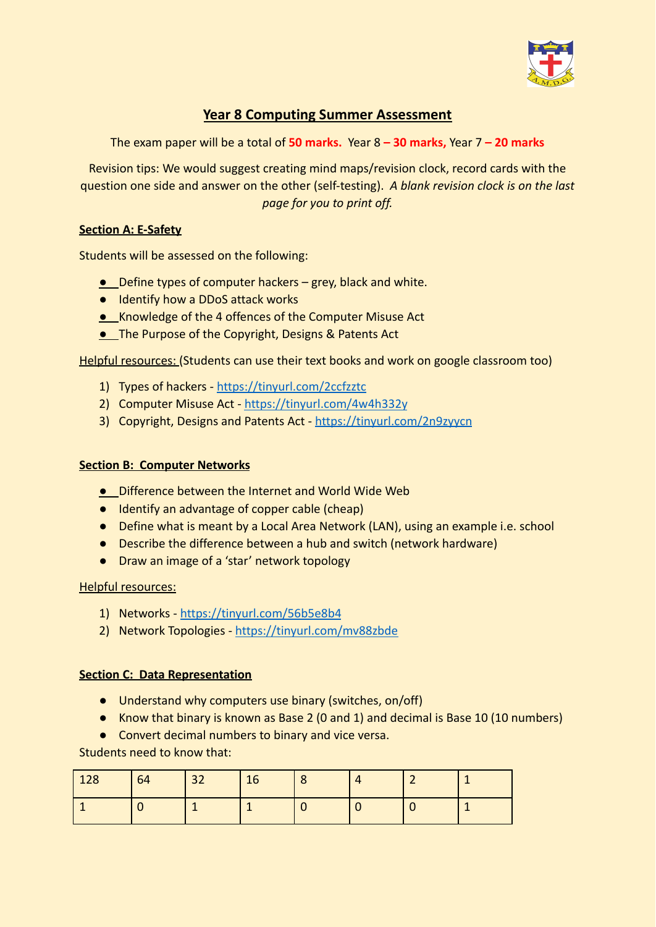

# **Year 8 Computing Summer Assessment**

The exam paper will be a total of **50 marks.** Year 8 **– 30 marks,** Year 7 **– 20 marks**

Revision tips: We would suggest creating mind maps/revision clock, record cards with the question one side and answer on the other (self-testing). *A blank revision clock is on the last page for you to print off.*

## **Section A: E-Safety**

Students will be assessed on the following:

- Define types of computer hackers grey, black and white.
- Identify how a DDoS attack works
- Knowledge of the 4 offences of the Computer Misuse Act
- **. The Purpose of the Copyright, Designs & Patents Act**

Helpful resources: (Students can use their text books and work on google classroom too)

- 1) Types of hackers <https://tinyurl.com/2ccfzztc>
- 2) Computer Misuse Act <https://tinyurl.com/4w4h332y>
- 3) Copyright, Designs and Patents Act <https://tinyurl.com/2n9zyycn>

## **Section B: Computer Networks**

- Difference between the Internet and World Wide Web
- Identify an advantage of copper cable (cheap)
- Define what is meant by a Local Area Network (LAN), using an example i.e. school
- Describe the difference between a hub and switch (network hardware)
- Draw an image of a 'star' network topology

## Helpful resources:

- 1) Networks <https://tinyurl.com/56b5e8b4>
- 2) Network Topologies <https://tinyurl.com/mv88zbde>

## **Section C: Data Representation**

- Understand why computers use binary (switches, on/off)
- Know that binary is known as Base 2 (0 and 1) and decimal is Base 10 (10 numbers)
- Convert decimal numbers to binary and vice versa.

Students need to know that:

| 128 | 64 | 32 | 16 | $\circ$ |   |  |
|-----|----|----|----|---------|---|--|
|     |    |    |    |         | ◡ |  |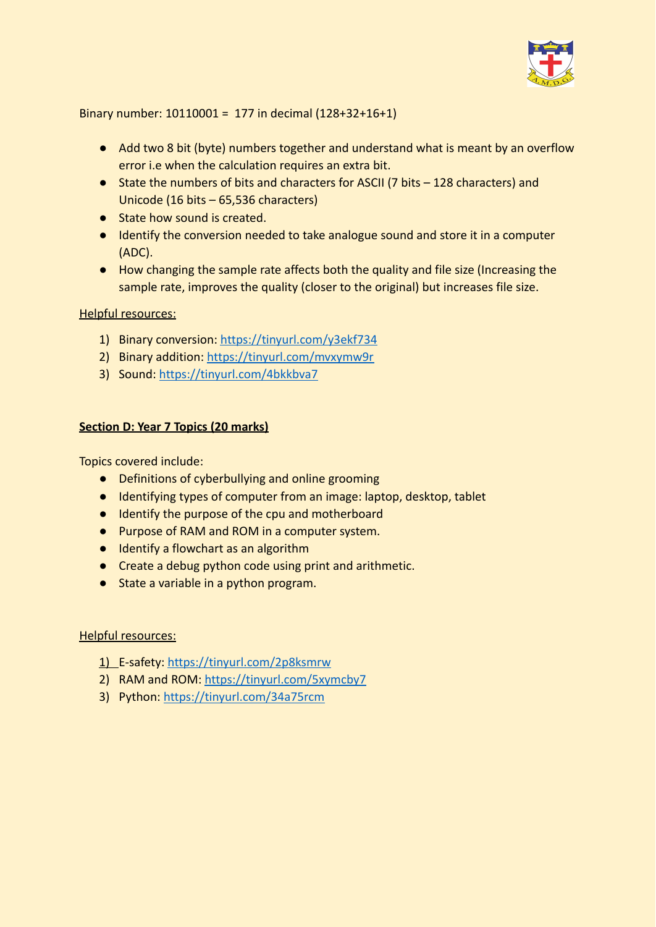

Binary number: 10110001 = 177 in decimal (128+32+16+1)

- Add two 8 bit (byte) numbers together and understand what is meant by an overflow error i.e when the calculation requires an extra bit.
- State the numbers of bits and characters for ASCII (7 bits 128 characters) and Unicode (16 bits – 65,536 characters)
- State how sound is created.
- Identify the conversion needed to take analogue sound and store it in a computer (ADC).
- How changing the sample rate affects both the quality and file size (Increasing the sample rate, improves the quality (closer to the original) but increases file size.

## Helpful resources:

- 1) Binary conversion: <https://tinyurl.com/y3ekf734>
- 2) Binary addition: <https://tinyurl.com/mvxymw9r>
- 3) Sound: <https://tinyurl.com/4bkkbva7>

## **Section D: Year 7 Topics (20 marks)**

Topics covered include:

- Definitions of cyberbullying and online grooming
- Identifying types of computer from an image: laptop, desktop, tablet
- Identify the purpose of the cpu and motherboard
- Purpose of RAM and ROM in a computer system.
- Identify a flowchart as an algorithm
- Create a debug python code using print and arithmetic.
- State a variable in a python program.

## Helpful resources:

- 1) E-safety: <https://tinyurl.com/2p8ksmrw>
- 2) RAM and ROM: <https://tinyurl.com/5xymcby7>
- 3) Python: <https://tinyurl.com/34a75rcm>